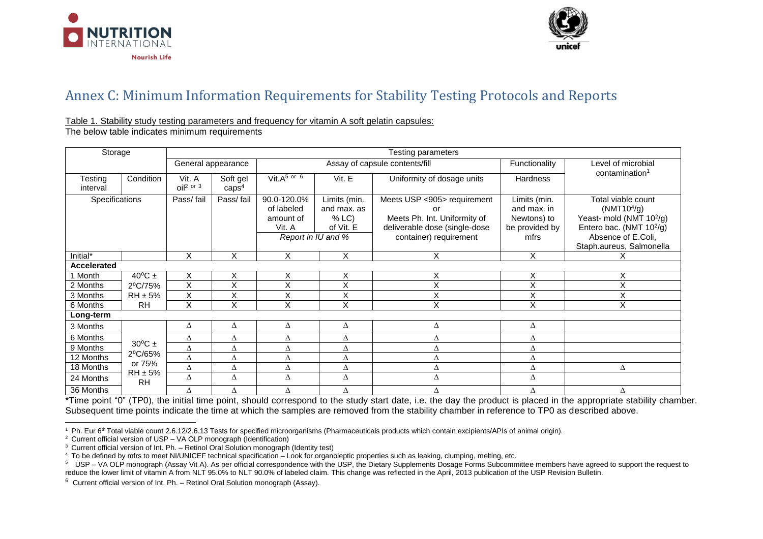



## Annex C: Minimum Information Requirements for Stability Testing Protocols and Reports

## Table 1. Stability study testing parameters and frequency for vitamin A soft gelatin capsules:

The below table indicates minimum requirements

| Storage             |                           | <b>Testing parameters</b> |                               |                                                  |                                                                        |                                                                                                                              |                                                                      |                                                                                                                                                                                 |
|---------------------|---------------------------|---------------------------|-------------------------------|--------------------------------------------------|------------------------------------------------------------------------|------------------------------------------------------------------------------------------------------------------------------|----------------------------------------------------------------------|---------------------------------------------------------------------------------------------------------------------------------------------------------------------------------|
|                     |                           | General appearance        |                               | Assay of capsule contents/fill                   |                                                                        |                                                                                                                              | Functionality                                                        | Level of microbial                                                                                                                                                              |
| Testing<br>interval | Condition                 | Vit. A<br>$OI2$ or 3      | Soft gel<br>caps <sup>4</sup> | Vit. $A^{5}$ or $6$                              | Vit. E                                                                 | Uniformity of dosage units                                                                                                   | <b>Hardness</b>                                                      | contamination <sup>1</sup>                                                                                                                                                      |
| Specifications      |                           | Pass/fail                 | Pass/fail                     | 90.0-120.0%<br>of labeled<br>amount of<br>Vit. A | Limits (min.<br>and max. as<br>% LC<br>of Vit. E<br>Report in IU and % | Meets USP <905> requirement<br>or<br>Meets Ph. Int. Uniformity of<br>deliverable dose (single-dose<br>container) requirement | Limits (min.<br>and max. in<br>Newtons) to<br>be provided by<br>mfrs | Total viable count<br>(NMT10 <sup>4</sup> /g)<br>Yeast- mold (NMT 10 <sup>2</sup> /g)<br>Entero bac. (NMT 10 <sup>2</sup> /g)<br>Absence of E.Coli,<br>Staph.aureus, Salmonella |
| Initial*            |                           | X                         | X                             | X                                                | X                                                                      | X                                                                                                                            | X                                                                    | ᄉ                                                                                                                                                                               |
| Accelerated         |                           |                           |                               |                                                  |                                                                        |                                                                                                                              |                                                                      |                                                                                                                                                                                 |
| 1 Month             | $40^{\circ}$ C $\pm$      | X                         | X                             | X                                                | Χ                                                                      | X                                                                                                                            | X                                                                    | Χ                                                                                                                                                                               |
| 2 Months            | 2°C/75%                   | X                         | X                             | Χ                                                | X                                                                      | X                                                                                                                            | Χ                                                                    | Χ                                                                                                                                                                               |
| 3 Months            | $RH \pm 5\%$              | X                         | Χ                             | X                                                | Χ                                                                      | v<br>⋏                                                                                                                       | X                                                                    | Χ                                                                                                                                                                               |
| 6 Months            | <b>RH</b>                 | X                         | X                             | X                                                | X                                                                      | X                                                                                                                            | X                                                                    | X                                                                                                                                                                               |
| Long-term           |                           |                           |                               |                                                  |                                                                        |                                                                                                                              |                                                                      |                                                                                                                                                                                 |
| 3 Months            |                           | Δ                         | Δ                             | Δ                                                | Δ                                                                      | Δ                                                                                                                            | Δ                                                                    |                                                                                                                                                                                 |
| 6 Months            |                           | Δ                         | Δ                             | Δ                                                | Δ                                                                      | Δ                                                                                                                            | Δ                                                                    |                                                                                                                                                                                 |
| 9 Months            | $30^{\circ}$ C ±          | Δ                         | Δ                             | Δ                                                | Δ                                                                      | Δ                                                                                                                            | Δ                                                                    |                                                                                                                                                                                 |
| 12 Months           | 2°C/65%                   | Δ                         | Δ                             | Δ                                                | Δ                                                                      | Δ                                                                                                                            | Δ                                                                    |                                                                                                                                                                                 |
| 18 Months           | or 75%                    | Δ                         | Δ                             | Δ                                                | Δ                                                                      | Δ                                                                                                                            | Δ                                                                    | Δ                                                                                                                                                                               |
| 24 Months           | $RH \pm 5\%$<br><b>RH</b> | Δ                         | Δ                             | Δ                                                | Δ                                                                      | Δ                                                                                                                            | Δ                                                                    |                                                                                                                                                                                 |
| 36 Months           |                           | Δ                         | Δ                             | Δ                                                | Δ                                                                      | Δ                                                                                                                            | Δ                                                                    | Δ                                                                                                                                                                               |

\*Time point "0" (TP0), the initial time point, should correspond to the study start date, i.e. the day the product is placed in the appropriate stability chamber. Subsequent time points indicate the time at which the samples are removed from the stability chamber in reference to TP0 as described above.

 $\overline{a}$ <sup>1</sup> Ph. Eur 6<sup>th</sup> Total viable count 2.6.12/2.6.13 Tests for specified microorganisms (Pharmaceuticals products which contain excipients/APIs of animal origin).

 $2$  Current official version of USP – VA OLP monograph (Identification)

 $3$  Current official version of Int. Ph. – Retinol Oral Solution monograph (Identity test)

<sup>&</sup>lt;sup>4</sup> To be defined by mfrs to meet NI/UNICEF technical specification – Look for organoleptic properties such as leaking, clumping, melting, etc.<br><sup>5</sup> USP – VA OLP monograph (Assay Vit A). As per official correspondence with reduce the lower limit of vitamin A from NLT 95.0% to NLT 90.0% of labeled claim. This change was reflected in the April, 2013 publication of the USP Revision Bulletin.

 $6$  Current official version of Int. Ph. – Retinol Oral Solution monograph (Assay).